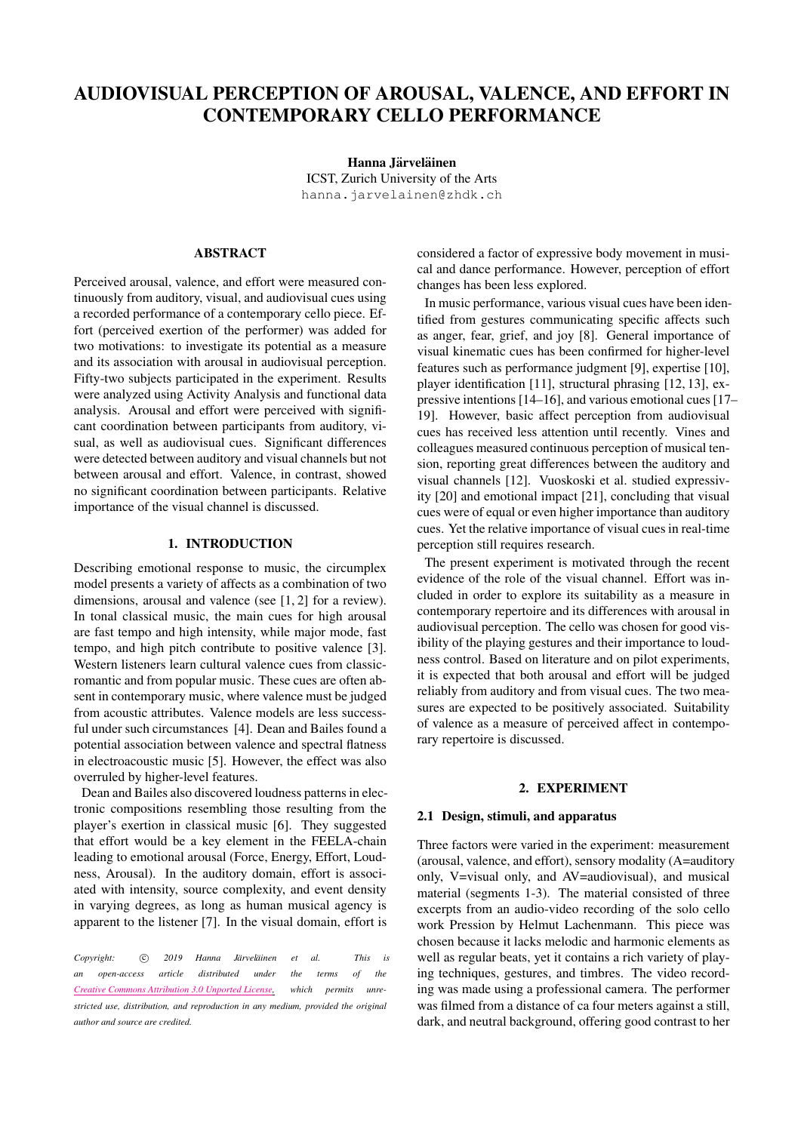# AUDIOVISUAL PERCEPTION OF AROUSAL, VALENCE, AND EFFORT IN CONTEMPORARY CELLO PERFORMANCE

Hanna Järveläinen ICST, Zurich University of the Arts [hanna.jarvelainen@zhdk.ch](mailto:hanna.jarvelainen@zhdk.ch)

#### ABSTRACT

Perceived arousal, valence, and effort were measured continuously from auditory, visual, and audiovisual cues using a recorded performance of a contemporary cello piece. Effort (perceived exertion of the performer) was added for two motivations: to investigate its potential as a measure and its association with arousal in audiovisual perception. Fifty-two subjects participated in the experiment. Results were analyzed using Activity Analysis and functional data analysis. Arousal and effort were perceived with significant coordination between participants from auditory, visual, as well as audiovisual cues. Significant differences were detected between auditory and visual channels but not between arousal and effort. Valence, in contrast, showed no significant coordination between participants. Relative importance of the visual channel is discussed.

## 1. INTRODUCTION

Describing emotional response to music, the circumplex model presents a variety of affects as a combination of two dimensions, arousal and valence (see [\[1,](#page-5-0) [2\]](#page-5-1) for a review). In tonal classical music, the main cues for high arousal are fast tempo and high intensity, while major mode, fast tempo, and high pitch contribute to positive valence [\[3\]](#page-5-2). Western listeners learn cultural valence cues from classicromantic and from popular music. These cues are often absent in contemporary music, where valence must be judged from acoustic attributes. Valence models are less successful under such circumstances [\[4\]](#page-5-3). Dean and Bailes found a potential association between valence and spectral flatness in electroacoustic music [\[5\]](#page-5-4). However, the effect was also overruled by higher-level features.

Dean and Bailes also discovered loudness patterns in electronic compositions resembling those resulting from the player's exertion in classical music [\[6\]](#page-5-5). They suggested that effort would be a key element in the FEELA-chain leading to emotional arousal (Force, Energy, Effort, Loudness, Arousal). In the auditory domain, effort is associated with intensity, source complexity, and event density in varying degrees, as long as human musical agency is apparent to the listener [\[7\]](#page-5-6). In the visual domain, effort is

*Copyright:*  $\circled{c}$  *2019 Hanna Järveläinen et al. This is an open-access article distributed under the terms of the Creative Commons [Attribution](http://creativecommons.org/licenses/by/3.0/) 3.0 Unported License, which permits unrestricted use, distribution, and reproduction in any medium, provided the original author and source are credited.*

considered a factor of expressive body movement in musical and dance performance. However, perception of effort changes has been less explored.

In music performance, various visual cues have been identified from gestures communicating specific affects such as anger, fear, grief, and joy [\[8\]](#page-6-0). General importance of visual kinematic cues has been confirmed for higher-level features such as performance judgment [\[9\]](#page-6-1), expertise [\[10\]](#page-6-2), player identification [\[11\]](#page-6-3), structural phrasing [\[12,](#page-6-4) [13\]](#page-6-5), expressive intentions [\[14–](#page-6-6)[16\]](#page-6-7), and various emotional cues [\[17–](#page-6-8) [19\]](#page-6-9). However, basic affect perception from audiovisual cues has received less attention until recently. Vines and colleagues measured continuous perception of musical tension, reporting great differences between the auditory and visual channels [\[12\]](#page-6-4). Vuoskoski et al. studied expressivity [\[20\]](#page-6-10) and emotional impact [\[21\]](#page-6-11), concluding that visual cues were of equal or even higher importance than auditory cues. Yet the relative importance of visual cues in real-time perception still requires research.

The present experiment is motivated through the recent evidence of the role of the visual channel. Effort was included in order to explore its suitability as a measure in contemporary repertoire and its differences with arousal in audiovisual perception. The cello was chosen for good visibility of the playing gestures and their importance to loudness control. Based on literature and on pilot experiments, it is expected that both arousal and effort will be judged reliably from auditory and from visual cues. The two measures are expected to be positively associated. Suitability of valence as a measure of perceived affect in contemporary repertoire is discussed.

#### 2. EXPERIMENT

# 2.1 Design, stimuli, and apparatus

Three factors were varied in the experiment: measurement (arousal, valence, and effort), sensory modality (A=auditory only, V=visual only, and AV=audiovisual), and musical material (segments 1-3). The material consisted of three excerpts from an audio-video recording of the solo cello work Pression by Helmut Lachenmann. This piece was chosen because it lacks melodic and harmonic elements as well as regular beats, yet it contains a rich variety of playing techniques, gestures, and timbres. The video recording was made using a professional camera. The performer was filmed from a distance of ca four meters against a still, dark, and neutral background, offering good contrast to her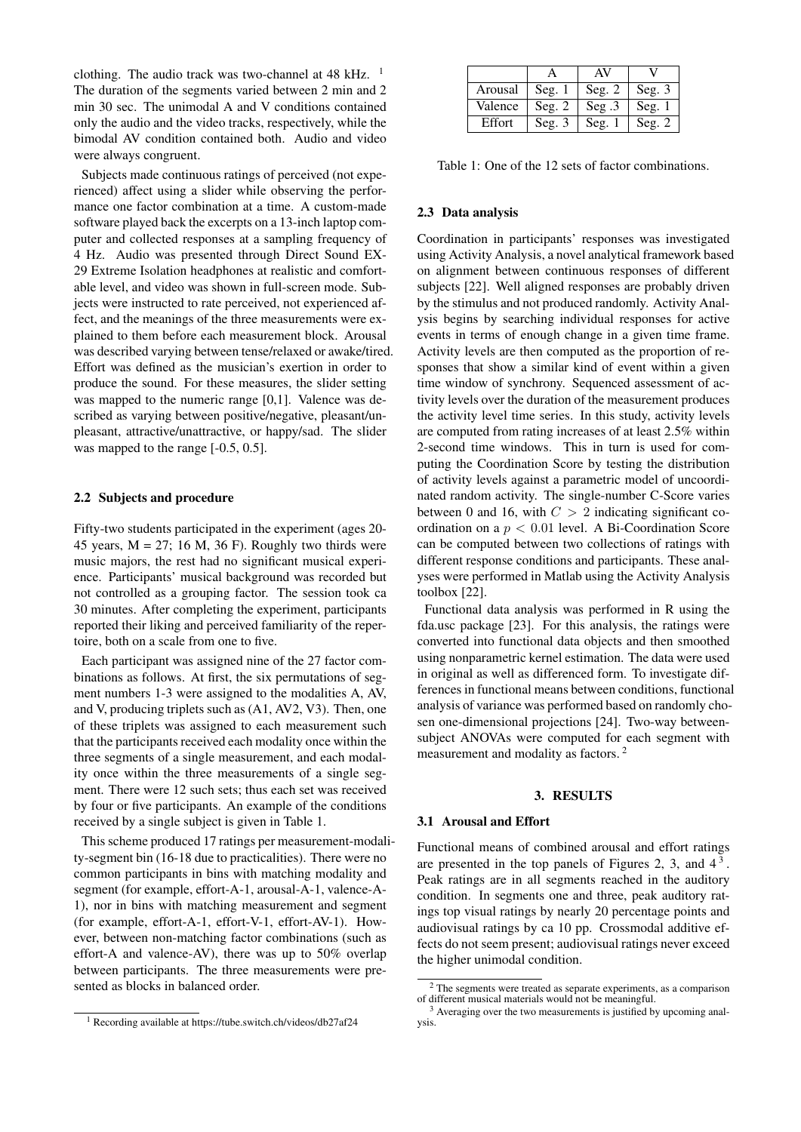clothing. The audio track was two-channel at  $48 \text{ kHz}$ . <sup>[1](#page-1-0)</sup> The duration of the segments varied between 2 min and 2 min 30 sec. The unimodal A and V conditions contained only the audio and the video tracks, respectively, while the bimodal AV condition contained both. Audio and video were always congruent.

Subjects made continuous ratings of perceived (not experienced) affect using a slider while observing the performance one factor combination at a time. A custom-made software played back the excerpts on a 13-inch laptop computer and collected responses at a sampling frequency of 4 Hz. Audio was presented through Direct Sound EX-29 Extreme Isolation headphones at realistic and comfortable level, and video was shown in full-screen mode. Subjects were instructed to rate perceived, not experienced affect, and the meanings of the three measurements were explained to them before each measurement block. Arousal was described varying between tense/relaxed or awake/tired. Effort was defined as the musician's exertion in order to produce the sound. For these measures, the slider setting was mapped to the numeric range [0,1]. Valence was described as varying between positive/negative, pleasant/unpleasant, attractive/unattractive, or happy/sad. The slider was mapped to the range  $[-0.5, 0.5]$ .

#### 2.2 Subjects and procedure

Fifty-two students participated in the experiment (ages 20- 45 years,  $M = 27$ ; 16 M, 36 F). Roughly two thirds were music majors, the rest had no significant musical experience. Participants' musical background was recorded but not controlled as a grouping factor. The session took ca 30 minutes. After completing the experiment, participants reported their liking and perceived familiarity of the repertoire, both on a scale from one to five.

Each participant was assigned nine of the 27 factor combinations as follows. At first, the six permutations of segment numbers 1-3 were assigned to the modalities A, AV, and V, producing triplets such as (A1, AV2, V3). Then, one of these triplets was assigned to each measurement such that the participants received each modality once within the three segments of a single measurement, and each modality once within the three measurements of a single segment. There were 12 such sets; thus each set was received by four or five participants. An example of the conditions received by a single subject is given in Table [1.](#page-1-1)

This scheme produced 17 ratings per measurement-modality-segment bin (16-18 due to practicalities). There were no common participants in bins with matching modality and segment (for example, effort-A-1, arousal-A-1, valence-A-1), nor in bins with matching measurement and segment (for example, effort-A-1, effort-V-1, effort-AV-1). However, between non-matching factor combinations (such as effort-A and valence-AV), there was up to 50% overlap between participants. The three measurements were presented as blocks in balanced order.

<span id="page-1-1"></span>

| Arousal | Seg. $1$ | Seg. $2$       | Seg. 3 |
|---------|----------|----------------|--------|
| Valence | Seg. $2$ | $\text{Seg}.3$ | Seeg.1 |
| Effort  | Seg. $3$ | Seg. $1$       | Seg. 2 |

Table 1: One of the 12 sets of factor combinations.

#### 2.3 Data analysis

Coordination in participants' responses was investigated using Activity Analysis, a novel analytical framework based on alignment between continuous responses of different subjects [\[22\]](#page-6-12). Well aligned responses are probably driven by the stimulus and not produced randomly. Activity Analysis begins by searching individual responses for active events in terms of enough change in a given time frame. Activity levels are then computed as the proportion of responses that show a similar kind of event within a given time window of synchrony. Sequenced assessment of activity levels over the duration of the measurement produces the activity level time series. In this study, activity levels are computed from rating increases of at least 2.5% within 2-second time windows. This in turn is used for computing the Coordination Score by testing the distribution of activity levels against a parametric model of uncoordinated random activity. The single-number C-Score varies between 0 and 16, with  $C > 2$  indicating significant coordination on a  $p < 0.01$  level. A Bi-Coordination Score can be computed between two collections of ratings with different response conditions and participants. These analyses were performed in Matlab using the Activity Analysis toolbox [\[22\]](#page-6-12).

Functional data analysis was performed in R using the fda.usc package [\[23\]](#page-6-13). For this analysis, the ratings were converted into functional data objects and then smoothed using nonparametric kernel estimation. The data were used in original as well as differenced form. To investigate differences in functional means between conditions, functional analysis of variance was performed based on randomly chosen one-dimensional projections [\[24\]](#page-6-14). Two-way betweensubject ANOVAs were computed for each segment with measurement and modality as factors. [2](#page-1-2)

#### 3. RESULTS

#### 3.1 Arousal and Effort

Functional means of combined arousal and effort ratings are presented in the top panels of Figures [2,](#page-2-0) [3,](#page-2-0) and  $4<sup>3</sup>$  $4<sup>3</sup>$  $4<sup>3</sup>$  $4<sup>3</sup>$ . Peak ratings are in all segments reached in the auditory condition. In segments one and three, peak auditory ratings top visual ratings by nearly 20 percentage points and audiovisual ratings by ca 10 pp. Crossmodal additive effects do not seem present; audiovisual ratings never exceed the higher unimodal condition.

<span id="page-1-0"></span><sup>1</sup> Recording available at https://tube.switch.ch/videos/db27af24

<span id="page-1-2"></span><sup>2</sup> The segments were treated as separate experiments, as a comparison of different musical materials would not be meaningful.

<span id="page-1-3"></span><sup>&</sup>lt;sup>3</sup> Averaging over the two measurements is justified by upcoming analysis.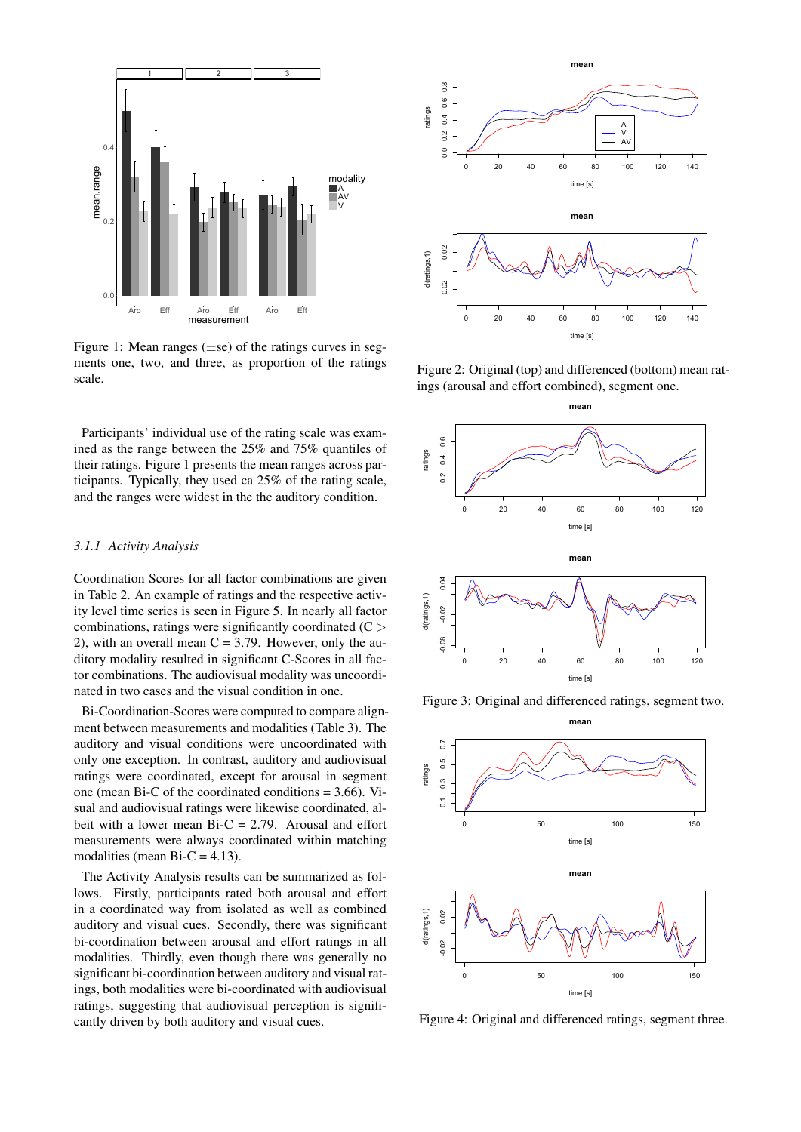<span id="page-2-1"></span>

Figure 1: Mean ranges  $(\pm s\epsilon)$  of the ratings curves in segments one, two, and three, as proportion of the ratings scale.

Participants' individual use of the rating scale was examined as the range between the 25% and 75% quantiles of their ratings. Figure [1](#page-2-1) presents the mean ranges across participants. Typically, they used ca 25% of the rating scale, and the ranges were widest in the the auditory condition.

#### *3.1.1 Activity Analysis*

Coordination Scores for all factor combinations are given in Table [2.](#page-3-0) An example of ratings and the respective activity level time series is seen in Figure [5.](#page-3-1) In nearly all factor combinations, ratings were significantly coordinated  $(C >$ 2), with an overall mean  $C = 3.79$ . However, only the auditory modality resulted in significant C-Scores in all factor combinations. The audiovisual modality was uncoordinated in two cases and the visual condition in one.

Bi-Coordination-Scores were computed to compare alignment between measurements and modalities (Table [3\)](#page-3-2). The auditory and visual conditions were uncoordinated with only one exception. In contrast, auditory and audiovisual ratings were coordinated, except for arousal in segment one (mean Bi-C of the coordinated conditions  $= 3.66$ ). Visual and audiovisual ratings were likewise coordinated, albeit with a lower mean  $Bi-C = 2.79$ . Arousal and effort measurements were always coordinated within matching modalities (mean Bi-C =  $4.13$ ).

The Activity Analysis results can be summarized as follows. Firstly, participants rated both arousal and effort in a coordinated way from isolated as well as combined auditory and visual cues. Secondly, there was significant bi-coordination between arousal and effort ratings in all modalities. Thirdly, even though there was generally no significant bi-coordination between auditory and visual ratings, both modalities were bi-coordinated with audiovisual ratings, suggesting that audiovisual perception is significantly driven by both auditory and visual cues.

<span id="page-2-0"></span>

Figure 2: Original (top) and differenced (bottom) mean ratings (arousal and effort combined), segment one.







Figure 4: Original and differenced ratings, segment three.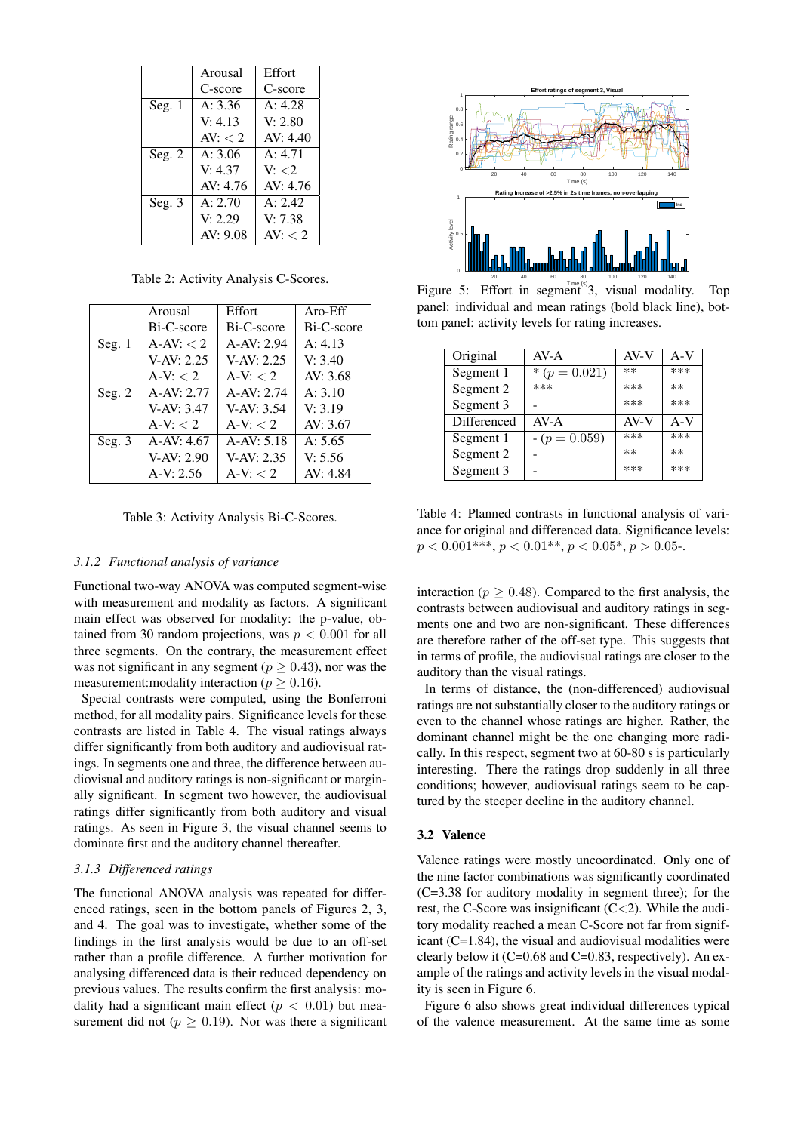<span id="page-3-0"></span>

|          | Arousal         | Effort     |
|----------|-----------------|------------|
|          | C-score         | C-score    |
| Seg. $1$ | A: 3.36         | A: 4.28    |
|          | V: 4.13         | V: 2.80    |
|          | AV: $\langle$ 2 | AV: 4.40   |
| Seg. $2$ | A: 3.06         | A: 4.71    |
|          | V: 4.37         | V: < 2     |
|          | AV: 4.76        | AV: 4.76   |
| Seg. $3$ | A: 2.70         | A: 2.42    |
|          | V: 2.29         | V: 7.38    |
|          | AV: 9.08        | AV: $<$ 2. |

Table 2: Activity Analysis C-Scores.

<span id="page-3-2"></span>

|          | Arousal      | Effort       | $Aro$ -Eff |
|----------|--------------|--------------|------------|
|          | Bi-C-score   | Bi-C-score   | Bi-C-score |
| Seg. $1$ | $A-AV: < 2$  | $A-AV: 2.94$ | A: 4.13    |
|          | $V-AV: 2.25$ | $V-AV: 2.25$ | V: 3.40    |
|          | $A-V: < 2$   | $A-V: < 2$   | AV: 3.68   |
| Seg. $2$ | $A-AV: 2.77$ | $A-AV: 2.74$ | A: 3.10    |
|          | $V-AV: 3.47$ | $V-AV: 3.54$ | V: 3.19    |
|          | $A-V: < 2$   | $A-V: < 2$   | AV: 3.67   |
| Seg. $3$ | $A-AV: 4.67$ | $A-AV: 5.18$ | A: 5.65    |
|          | $V-AV: 2.90$ | $V-AV: 2.35$ | V: 5.56    |
|          | $A-V: 2.56$  | $A-V: < 2$   | AV: 4.84   |

Table 3: Activity Analysis Bi-C-Scores.

#### *3.1.2 Functional analysis of variance*

Functional two-way ANOVA was computed segment-wise with measurement and modality as factors. A significant main effect was observed for modality: the p-value, obtained from 30 random projections, was  $p < 0.001$  for all three segments. On the contrary, the measurement effect was not significant in any segment ( $p \ge 0.43$ ), nor was the measurement: modality interaction ( $p > 0.16$ ).

Special contrasts were computed, using the Bonferroni method, for all modality pairs. Significance levels for these contrasts are listed in Table [4.](#page-3-3) The visual ratings always differ significantly from both auditory and audiovisual ratings. In segments one and three, the difference between audiovisual and auditory ratings is non-significant or marginally significant. In segment two however, the audiovisual ratings differ significantly from both auditory and visual ratings. As seen in Figure [3,](#page-2-0) the visual channel seems to dominate first and the auditory channel thereafter.

## *3.1.3 Differenced ratings*

The functional ANOVA analysis was repeated for differenced ratings, seen in the bottom panels of Figures [2,](#page-2-0) [3,](#page-2-0) and [4.](#page-2-0) The goal was to investigate, whether some of the findings in the first analysis would be due to an off-set rather than a profile difference. A further motivation for analysing differenced data is their reduced dependency on previous values. The results confirm the first analysis: modality had a significant main effect ( $p < 0.01$ ) but measurement did not ( $p \ge 0.19$ ). Nor was there a significant

<span id="page-3-1"></span>

Figure 5: Effort in segment 3, visual modality. Top panel: individual and mean ratings (bold black line), bottom panel: activity levels for rating increases.

<span id="page-3-3"></span>

| Original    | $AV-A$          | AV-V | $A-V$ |
|-------------|-----------------|------|-------|
| Segment 1   | * $(p = 0.021)$ | $**$ | ***   |
| Segment 2   | ***             | ***  | $**$  |
| Segment 3   |                 | ***  | ***   |
| Differenced | $AV-A$          | AV-V | $A-V$ |
| Segment 1   | $-(p = 0.059)$  | ***  | ***   |
| Segment 2   |                 | $**$ | $**$  |
| Segment 3   |                 | ***  | ***   |

Table 4: Planned contrasts in functional analysis of variance for original and differenced data. Significance levels:  $p < 0.001***$ ,  $p < 0.01***$ ,  $p < 0.05$ ,  $p > 0.05$ .

interaction ( $p \ge 0.48$ ). Compared to the first analysis, the contrasts between audiovisual and auditory ratings in segments one and two are non-significant. These differences are therefore rather of the off-set type. This suggests that in terms of profile, the audiovisual ratings are closer to the auditory than the visual ratings.

In terms of distance, the (non-differenced) audiovisual ratings are not substantially closer to the auditory ratings or even to the channel whose ratings are higher. Rather, the dominant channel might be the one changing more radically. In this respect, segment two at 60-80 s is particularly interesting. There the ratings drop suddenly in all three conditions; however, audiovisual ratings seem to be captured by the steeper decline in the auditory channel.

## 3.2 Valence

Valence ratings were mostly uncoordinated. Only one of the nine factor combinations was significantly coordinated (C=3.38 for auditory modality in segment three); for the rest, the C-Score was insignificant  $(C<2)$ . While the auditory modality reached a mean C-Score not far from significant (C=1.84), the visual and audiovisual modalities were clearly below it (C=0.68 and C=0.83, respectively). An example of the ratings and activity levels in the visual modality is seen in Figure [6.](#page-4-0)

Figure [6](#page-4-0) also shows great individual differences typical of the valence measurement. At the same time as some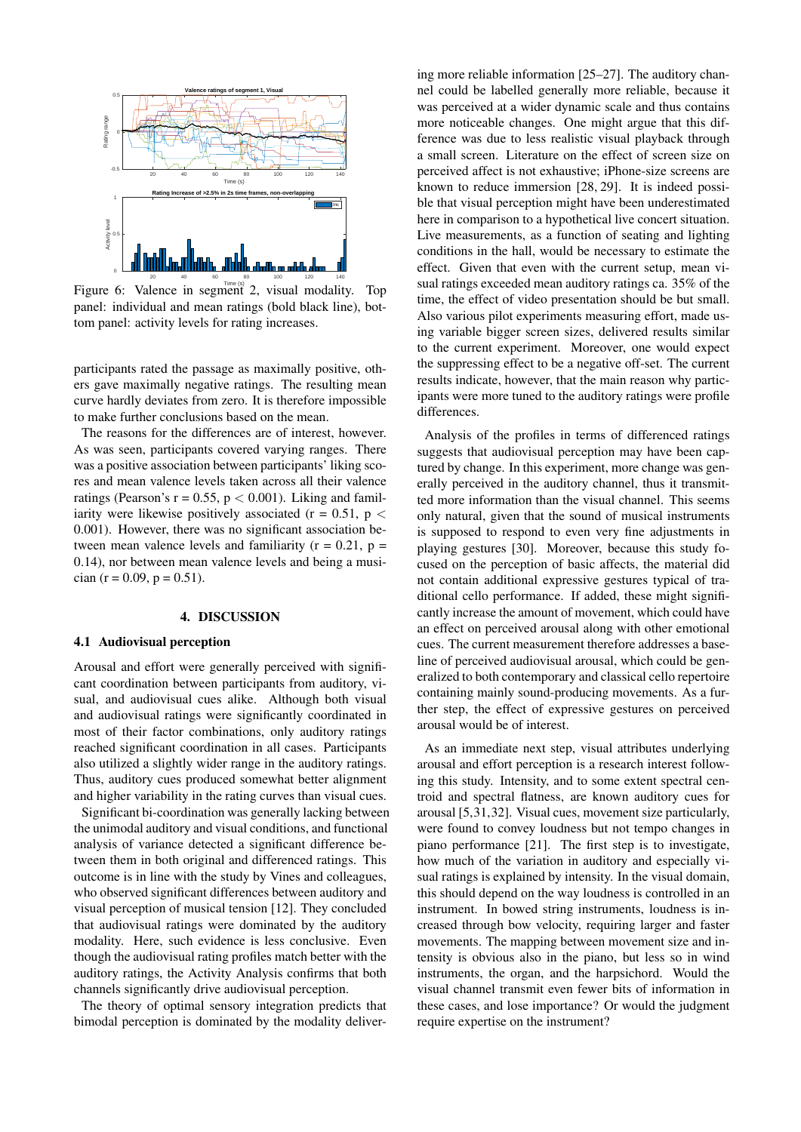<span id="page-4-0"></span>

Figure 6: Valence in segment 2, visual modality. Top panel: individual and mean ratings (bold black line), bottom panel: activity levels for rating increases.

participants rated the passage as maximally positive, others gave maximally negative ratings. The resulting mean curve hardly deviates from zero. It is therefore impossible to make further conclusions based on the mean.

The reasons for the differences are of interest, however. As was seen, participants covered varying ranges. There was a positive association between participants' liking scores and mean valence levels taken across all their valence ratings (Pearson's  $r = 0.55$ ,  $p < 0.001$ ). Liking and familiarity were likewise positively associated ( $r = 0.51$ ,  $p <$ 0.001). However, there was no significant association between mean valence levels and familiarity ( $r = 0.21$ ,  $p =$ 0.14), nor between mean valence levels and being a musician (r = 0.09, p = 0.51).

## 4. DISCUSSION

## 4.1 Audiovisual perception

Arousal and effort were generally perceived with significant coordination between participants from auditory, visual, and audiovisual cues alike. Although both visual and audiovisual ratings were significantly coordinated in most of their factor combinations, only auditory ratings reached significant coordination in all cases. Participants also utilized a slightly wider range in the auditory ratings. Thus, auditory cues produced somewhat better alignment and higher variability in the rating curves than visual cues.

Significant bi-coordination was generally lacking between the unimodal auditory and visual conditions, and functional analysis of variance detected a significant difference between them in both original and differenced ratings. This outcome is in line with the study by Vines and colleagues, who observed significant differences between auditory and visual perception of musical tension [\[12\]](#page-6-4). They concluded that audiovisual ratings were dominated by the auditory modality. Here, such evidence is less conclusive. Even though the audiovisual rating profiles match better with the auditory ratings, the Activity Analysis confirms that both channels significantly drive audiovisual perception.

The theory of optimal sensory integration predicts that bimodal perception is dominated by the modality delivering more reliable information [\[25](#page-6-15)[–27\]](#page-6-16). The auditory channel could be labelled generally more reliable, because it was perceived at a wider dynamic scale and thus contains more noticeable changes. One might argue that this difference was due to less realistic visual playback through a small screen. Literature on the effect of screen size on perceived affect is not exhaustive; iPhone-size screens are known to reduce immersion [\[28,](#page-6-17) [29\]](#page-6-18). It is indeed possible that visual perception might have been underestimated here in comparison to a hypothetical live concert situation. Live measurements, as a function of seating and lighting conditions in the hall, would be necessary to estimate the effect. Given that even with the current setup, mean visual ratings exceeded mean auditory ratings ca. 35% of the time, the effect of video presentation should be but small. Also various pilot experiments measuring effort, made using variable bigger screen sizes, delivered results similar to the current experiment. Moreover, one would expect the suppressing effect to be a negative off-set. The current results indicate, however, that the main reason why participants were more tuned to the auditory ratings were profile differences.

Analysis of the profiles in terms of differenced ratings suggests that audiovisual perception may have been captured by change. In this experiment, more change was generally perceived in the auditory channel, thus it transmitted more information than the visual channel. This seems only natural, given that the sound of musical instruments is supposed to respond to even very fine adjustments in playing gestures [\[30\]](#page-6-19). Moreover, because this study focused on the perception of basic affects, the material did not contain additional expressive gestures typical of traditional cello performance. If added, these might significantly increase the amount of movement, which could have an effect on perceived arousal along with other emotional cues. The current measurement therefore addresses a baseline of perceived audiovisual arousal, which could be generalized to both contemporary and classical cello repertoire containing mainly sound-producing movements. As a further step, the effect of expressive gestures on perceived arousal would be of interest.

As an immediate next step, visual attributes underlying arousal and effort perception is a research interest following this study. Intensity, and to some extent spectral centroid and spectral flatness, are known auditory cues for arousal [\[5,](#page-5-4)[31,](#page-6-20)[32\]](#page-6-21). Visual cues, movement size particularly, were found to convey loudness but not tempo changes in piano performance [\[21\]](#page-6-11). The first step is to investigate, how much of the variation in auditory and especially visual ratings is explained by intensity. In the visual domain, this should depend on the way loudness is controlled in an instrument. In bowed string instruments, loudness is increased through bow velocity, requiring larger and faster movements. The mapping between movement size and intensity is obvious also in the piano, but less so in wind instruments, the organ, and the harpsichord. Would the visual channel transmit even fewer bits of information in these cases, and lose importance? Or would the judgment require expertise on the instrument?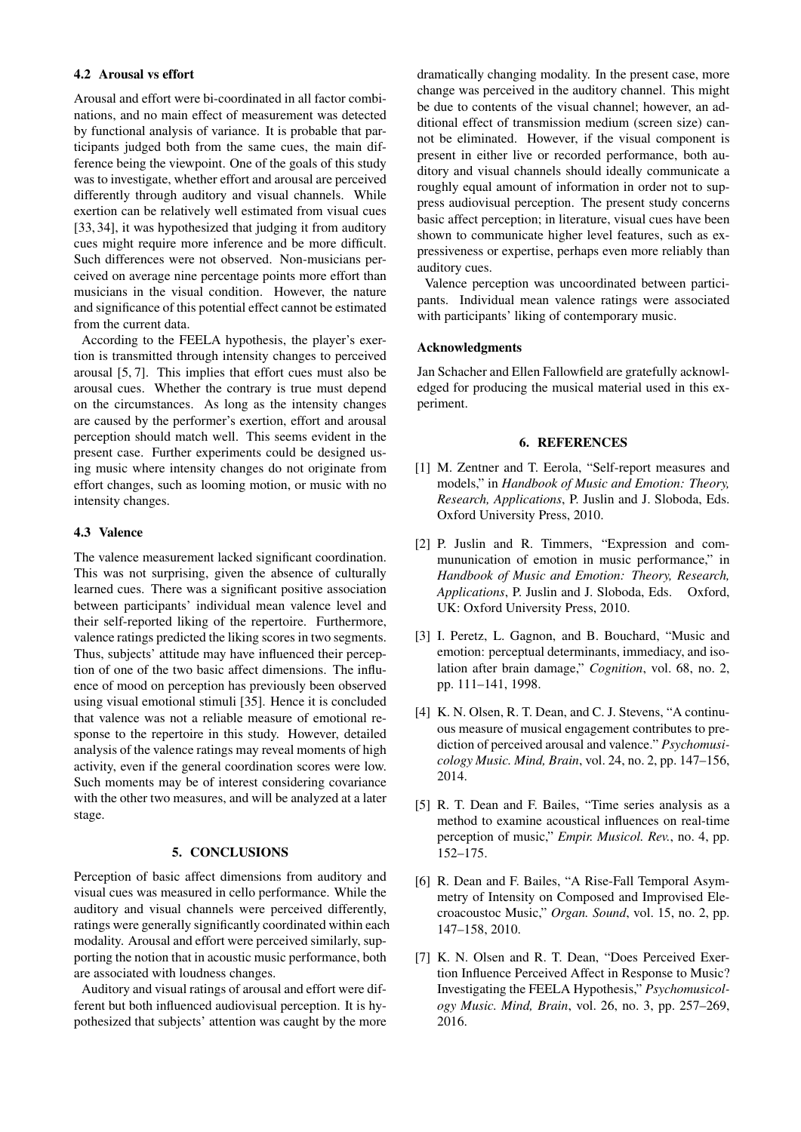#### 4.2 Arousal vs effort

Arousal and effort were bi-coordinated in all factor combinations, and no main effect of measurement was detected by functional analysis of variance. It is probable that participants judged both from the same cues, the main difference being the viewpoint. One of the goals of this study was to investigate, whether effort and arousal are perceived differently through auditory and visual channels. While exertion can be relatively well estimated from visual cues [\[33,](#page-6-22) [34\]](#page-7-0), it was hypothesized that judging it from auditory cues might require more inference and be more difficult. Such differences were not observed. Non-musicians perceived on average nine percentage points more effort than musicians in the visual condition. However, the nature and significance of this potential effect cannot be estimated from the current data.

According to the FEELA hypothesis, the player's exertion is transmitted through intensity changes to perceived arousal [\[5,](#page-5-4) [7\]](#page-5-6). This implies that effort cues must also be arousal cues. Whether the contrary is true must depend on the circumstances. As long as the intensity changes are caused by the performer's exertion, effort and arousal perception should match well. This seems evident in the present case. Further experiments could be designed using music where intensity changes do not originate from effort changes, such as looming motion, or music with no intensity changes.

#### 4.3 Valence

The valence measurement lacked significant coordination. This was not surprising, given the absence of culturally learned cues. There was a significant positive association between participants' individual mean valence level and their self-reported liking of the repertoire. Furthermore, valence ratings predicted the liking scores in two segments. Thus, subjects' attitude may have influenced their perception of one of the two basic affect dimensions. The influence of mood on perception has previously been observed using visual emotional stimuli [\[35\]](#page-7-1). Hence it is concluded that valence was not a reliable measure of emotional response to the repertoire in this study. However, detailed analysis of the valence ratings may reveal moments of high activity, even if the general coordination scores were low. Such moments may be of interest considering covariance with the other two measures, and will be analyzed at a later stage.

## 5. CONCLUSIONS

Perception of basic affect dimensions from auditory and visual cues was measured in cello performance. While the auditory and visual channels were perceived differently, ratings were generally significantly coordinated within each modality. Arousal and effort were perceived similarly, supporting the notion that in acoustic music performance, both are associated with loudness changes.

Auditory and visual ratings of arousal and effort were different but both influenced audiovisual perception. It is hypothesized that subjects' attention was caught by the more dramatically changing modality. In the present case, more change was perceived in the auditory channel. This might be due to contents of the visual channel; however, an additional effect of transmission medium (screen size) cannot be eliminated. However, if the visual component is present in either live or recorded performance, both auditory and visual channels should ideally communicate a roughly equal amount of information in order not to suppress audiovisual perception. The present study concerns basic affect perception; in literature, visual cues have been shown to communicate higher level features, such as expressiveness or expertise, perhaps even more reliably than auditory cues.

Valence perception was uncoordinated between participants. Individual mean valence ratings were associated with participants' liking of contemporary music.

## Acknowledgments

Jan Schacher and Ellen Fallowfield are gratefully acknowledged for producing the musical material used in this experiment.

## 6. REFERENCES

- <span id="page-5-0"></span>[1] M. Zentner and T. Eerola, "Self-report measures and models," in *Handbook of Music and Emotion: Theory, Research, Applications*, P. Juslin and J. Sloboda, Eds. Oxford University Press, 2010.
- <span id="page-5-1"></span>[2] P. Juslin and R. Timmers, "Expression and commununication of emotion in music performance," in *Handbook of Music and Emotion: Theory, Research, Applications*, P. Juslin and J. Sloboda, Eds. Oxford, UK: Oxford University Press, 2010.
- <span id="page-5-2"></span>[3] I. Peretz, L. Gagnon, and B. Bouchard, "Music and emotion: perceptual determinants, immediacy, and isolation after brain damage," *Cognition*, vol. 68, no. 2, pp. 111–141, 1998.
- <span id="page-5-3"></span>[4] K. N. Olsen, R. T. Dean, and C. J. Stevens, "A continuous measure of musical engagement contributes to prediction of perceived arousal and valence." *Psychomusicology Music. Mind, Brain*, vol. 24, no. 2, pp. 147–156, 2014.
- <span id="page-5-4"></span>[5] R. T. Dean and F. Bailes, "Time series analysis as a method to examine acoustical influences on real-time perception of music," *Empir. Musicol. Rev.*, no. 4, pp. 152–175.
- <span id="page-5-5"></span>[6] R. Dean and F. Bailes, "A Rise-Fall Temporal Asymmetry of Intensity on Composed and Improvised Elecroacoustoc Music," *Organ. Sound*, vol. 15, no. 2, pp. 147–158, 2010.
- <span id="page-5-6"></span>[7] K. N. Olsen and R. T. Dean, "Does Perceived Exertion Influence Perceived Affect in Response to Music? Investigating the FEELA Hypothesis," *Psychomusicology Music. Mind, Brain*, vol. 26, no. 3, pp. 257–269, 2016.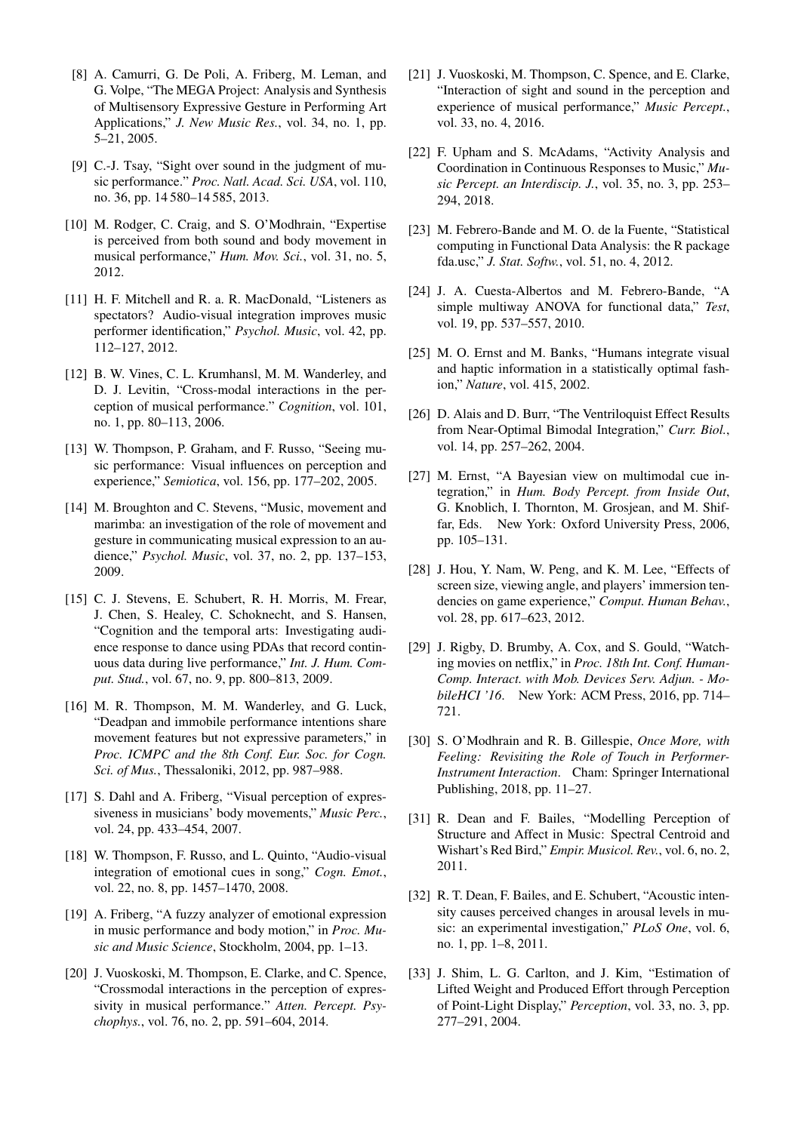- <span id="page-6-0"></span>[8] A. Camurri, G. De Poli, A. Friberg, M. Leman, and G. Volpe, "The MEGA Project: Analysis and Synthesis of Multisensory Expressive Gesture in Performing Art Applications," *J. New Music Res.*, vol. 34, no. 1, pp. 5–21, 2005.
- <span id="page-6-1"></span>[9] C.-J. Tsay, "Sight over sound in the judgment of music performance." *Proc. Natl. Acad. Sci. USA*, vol. 110, no. 36, pp. 14 580–14 585, 2013.
- <span id="page-6-2"></span>[10] M. Rodger, C. Craig, and S. O'Modhrain, "Expertise is perceived from both sound and body movement in musical performance," *Hum. Mov. Sci.*, vol. 31, no. 5, 2012.
- <span id="page-6-3"></span>[11] H. F. Mitchell and R. a. R. MacDonald, "Listeners as spectators? Audio-visual integration improves music performer identification," *Psychol. Music*, vol. 42, pp. 112–127, 2012.
- <span id="page-6-4"></span>[12] B. W. Vines, C. L. Krumhansl, M. M. Wanderley, and D. J. Levitin, "Cross-modal interactions in the perception of musical performance." *Cognition*, vol. 101, no. 1, pp. 80–113, 2006.
- <span id="page-6-5"></span>[13] W. Thompson, P. Graham, and F. Russo, "Seeing music performance: Visual influences on perception and experience," *Semiotica*, vol. 156, pp. 177–202, 2005.
- <span id="page-6-6"></span>[14] M. Broughton and C. Stevens, "Music, movement and marimba: an investigation of the role of movement and gesture in communicating musical expression to an audience," *Psychol. Music*, vol. 37, no. 2, pp. 137–153, 2009.
- [15] C. J. Stevens, E. Schubert, R. H. Morris, M. Frear, J. Chen, S. Healey, C. Schoknecht, and S. Hansen, "Cognition and the temporal arts: Investigating audience response to dance using PDAs that record continuous data during live performance," *Int. J. Hum. Comput. Stud.*, vol. 67, no. 9, pp. 800–813, 2009.
- <span id="page-6-7"></span>[16] M. R. Thompson, M. M. Wanderley, and G. Luck, "Deadpan and immobile performance intentions share movement features but not expressive parameters," in *Proc. ICMPC and the 8th Conf. Eur. Soc. for Cogn. Sci. of Mus.*, Thessaloniki, 2012, pp. 987–988.
- <span id="page-6-8"></span>[17] S. Dahl and A. Friberg, "Visual perception of expressiveness in musicians' body movements," *Music Perc.*, vol. 24, pp. 433–454, 2007.
- [18] W. Thompson, F. Russo, and L. Quinto, "Audio-visual integration of emotional cues in song," *Cogn. Emot.*, vol. 22, no. 8, pp. 1457–1470, 2008.
- <span id="page-6-9"></span>[19] A. Friberg, "A fuzzy analyzer of emotional expression in music performance and body motion," in *Proc. Music and Music Science*, Stockholm, 2004, pp. 1–13.
- <span id="page-6-10"></span>[20] J. Vuoskoski, M. Thompson, E. Clarke, and C. Spence, "Crossmodal interactions in the perception of expressivity in musical performance." *Atten. Percept. Psychophys.*, vol. 76, no. 2, pp. 591–604, 2014.
- <span id="page-6-11"></span>[21] J. Vuoskoski, M. Thompson, C. Spence, and E. Clarke, "Interaction of sight and sound in the perception and experience of musical performance," *Music Percept.*, vol. 33, no. 4, 2016.
- <span id="page-6-12"></span>[22] F. Upham and S. McAdams, "Activity Analysis and Coordination in Continuous Responses to Music," *Music Percept. an Interdiscip. J.*, vol. 35, no. 3, pp. 253– 294, 2018.
- <span id="page-6-13"></span>[23] M. Febrero-Bande and M. O. de la Fuente, "Statistical computing in Functional Data Analysis: the R package fda.usc," *J. Stat. Softw.*, vol. 51, no. 4, 2012.
- <span id="page-6-14"></span>[24] J. A. Cuesta-Albertos and M. Febrero-Bande, "A simple multiway ANOVA for functional data," *Test*, vol. 19, pp. 537–557, 2010.
- <span id="page-6-15"></span>[25] M. O. Ernst and M. Banks, "Humans integrate visual and haptic information in a statistically optimal fashion," *Nature*, vol. 415, 2002.
- [26] D. Alais and D. Burr, "The Ventriloquist Effect Results from Near-Optimal Bimodal Integration," *Curr. Biol.*, vol. 14, pp. 257–262, 2004.
- <span id="page-6-16"></span>[27] M. Ernst, "A Bayesian view on multimodal cue integration," in *Hum. Body Percept. from Inside Out*, G. Knoblich, I. Thornton, M. Grosjean, and M. Shiffar, Eds. New York: Oxford University Press, 2006, pp. 105–131.
- <span id="page-6-17"></span>[28] J. Hou, Y. Nam, W. Peng, and K. M. Lee, "Effects of screen size, viewing angle, and players' immersion tendencies on game experience," *Comput. Human Behav.*, vol. 28, pp. 617–623, 2012.
- <span id="page-6-18"></span>[29] J. Rigby, D. Brumby, A. Cox, and S. Gould, "Watching movies on netflix," in *Proc. 18th Int. Conf. Human-Comp. Interact. with Mob. Devices Serv. Adjun. - MobileHCI '16*. New York: ACM Press, 2016, pp. 714– 721.
- <span id="page-6-19"></span>[30] S. O'Modhrain and R. B. Gillespie, *Once More, with Feeling: Revisiting the Role of Touch in Performer-Instrument Interaction*. Cham: Springer International Publishing, 2018, pp. 11–27.
- <span id="page-6-20"></span>[31] R. Dean and F. Bailes, "Modelling Perception of Structure and Affect in Music: Spectral Centroid and Wishart's Red Bird," *Empir. Musicol. Rev.*, vol. 6, no. 2, 2011.
- <span id="page-6-21"></span>[32] R. T. Dean, F. Bailes, and E. Schubert, "Acoustic intensity causes perceived changes in arousal levels in music: an experimental investigation," *PLoS One*, vol. 6, no. 1, pp. 1–8, 2011.
- <span id="page-6-22"></span>[33] J. Shim, L. G. Carlton, and J. Kim, "Estimation of Lifted Weight and Produced Effort through Perception of Point-Light Display," *Perception*, vol. 33, no. 3, pp. 277–291, 2004.